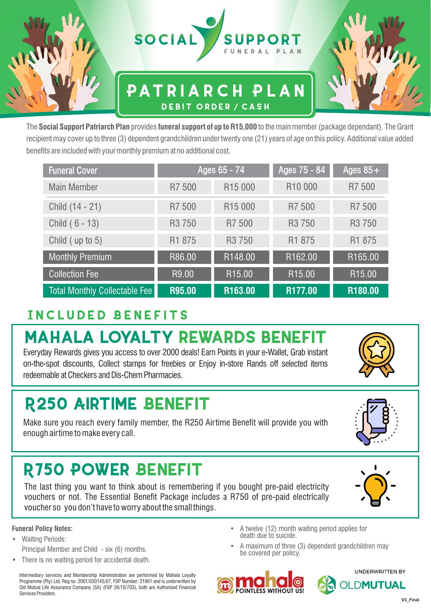

### **Patriarch Plan Debit order / cash**



| <b>Funeral Cover</b>                 |                    | Ages 65 - 74        | Ages 75 - 84       | $\overline{\rm{A}$ ges 85 $+^{\rm{!}}$ |  |
|--------------------------------------|--------------------|---------------------|--------------------|----------------------------------------|--|
| <b>Main Member</b>                   | R7 500             | R <sub>15</sub> 000 | R10 000            | R7 500                                 |  |
| Child (14 - 21)                      | R7 500             | R <sub>15</sub> 000 | R7 500             | R7 500                                 |  |
| Child (6 - 13)                       | R <sub>3</sub> 750 | R7 500              | R <sub>3</sub> 750 | R <sub>3</sub> 750                     |  |
| Child (up to 5)                      | R1 875             | R <sub>3</sub> 750  | R1 875             | R1 875                                 |  |
| <b>Monthly Premium</b>               | R86.00             | R148.00             | R162.00            | R165.00                                |  |
| <b>Collection Fee</b>                | R9.00              | R15.00              | R <sub>15.00</sub> | R <sub>15.00</sub>                     |  |
| <b>Total Monthly Collectable Fee</b> | R95.00             | R163.00             | R177.00            | R180.00                                |  |

### **Included Benefits**

# **MAHALA LOYALTY REWARDS BENEFIT**

Everyday Rewards gives you access to over 2000 deals! Earn Points in your e-Wallet, Grab instant on-the-spot discounts, Collect stamps for freebies or Enjoy in-store Rands off selected items redeemable at Checkers and Dis-Chem Pharmacies.

## **R250 AIRTIME BENEFIT**

Make sure you reach every family member, the R250 Airtime Benefit will provide you with enough airtime to make every call.

## **R750 POWER BENEFIT**

The last thing you want to think about is remembering if you bought pre-paid electricity vouchers or not. The Essential Benefit Package includes a R750 of pre-paid electrically voucher so you don't have to worry about the small things.

#### **Funeral Policy Notes:**

**•** Waiting Periods:

Principal Member and Child - six (6) months.

• There is no waiting period for accidental death.

Intermediary services and Membership Administration are performed by Mahala Loyalty Programme (Pty) Ltd, Reg no: 2001/030145/07, FSP Number: 21961 and is underwritten by Old Mutual Life Assurance Company (SA) (FSP 26/10/703), both are Authorised Financial Services Providers.

- A twelve (12) month waiting period applies for death due to suicide.
- A maximum of three (3) dependent grandchildren may be covered per policy.



**UNDERWRITTEN BY** 

**OLDMUTUAL** 









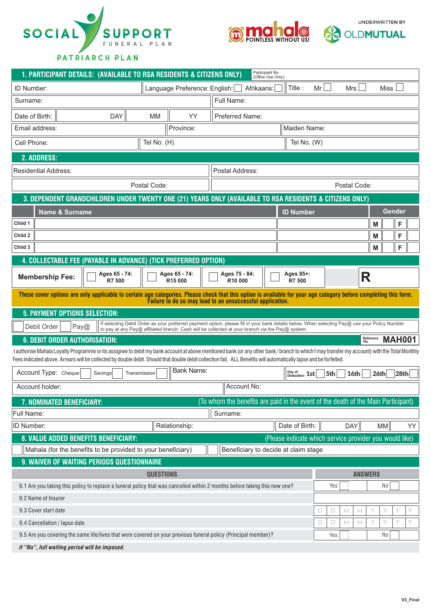





**Patriarch Plan**

| Participant No.<br>1. PARTICIPANT DETAILS: (AVAILABLE TO RSA RESIDENTS & CITIZENS ONLY)<br>(Office Use Only):                                                                                                                                                                                                                                                    |                  |                                      |                                                                                                                                               |              |                             |                                                         |                |               |
|------------------------------------------------------------------------------------------------------------------------------------------------------------------------------------------------------------------------------------------------------------------------------------------------------------------------------------------------------------------|------------------|--------------------------------------|-----------------------------------------------------------------------------------------------------------------------------------------------|--------------|-----------------------------|---------------------------------------------------------|----------------|---------------|
| ID Number:                                                                                                                                                                                                                                                                                                                                                       |                  | Language Preference: English:        |                                                                                                                                               | Afrikaans:   | Title:                      | Mr<br>Mrs                                               | <b>Miss</b>    |               |
| Surname:                                                                                                                                                                                                                                                                                                                                                         |                  |                                      | Full Name:                                                                                                                                    |              |                             |                                                         |                |               |
| Date of Birth:<br><b>DAY</b>                                                                                                                                                                                                                                                                                                                                     | <b>MM</b>        | YY                                   | <b>Preferred Name:</b>                                                                                                                        |              |                             |                                                         |                |               |
| Email address:                                                                                                                                                                                                                                                                                                                                                   |                  | Province:                            |                                                                                                                                               |              | Maiden Name:                |                                                         |                |               |
| Cell Phone:                                                                                                                                                                                                                                                                                                                                                      | Tel No. (H)      |                                      |                                                                                                                                               |              | Tel No. (W)                 |                                                         |                |               |
| 2. ADDRESS:                                                                                                                                                                                                                                                                                                                                                      |                  |                                      |                                                                                                                                               |              |                             |                                                         |                |               |
| <b>Residential Address:</b>                                                                                                                                                                                                                                                                                                                                      |                  |                                      | Postal Address:                                                                                                                               |              |                             |                                                         |                |               |
| Postal Code:                                                                                                                                                                                                                                                                                                                                                     |                  |                                      |                                                                                                                                               | Postal Code: |                             |                                                         |                |               |
| 3. DEPENDENT GRANDCHILDREN UNDER TWENTY ONE (21) YEARS ONLY (AVAILABLE TO RSA RESIDENTS & CITIZENS ONLY)                                                                                                                                                                                                                                                         |                  |                                      |                                                                                                                                               |              |                             |                                                         |                |               |
| <b>Name &amp; Surname</b>                                                                                                                                                                                                                                                                                                                                        |                  |                                      |                                                                                                                                               |              | <b>ID Number</b>            |                                                         |                | <b>Gender</b> |
| Child 1                                                                                                                                                                                                                                                                                                                                                          |                  |                                      |                                                                                                                                               |              |                             |                                                         | M              | F             |
| Child 2                                                                                                                                                                                                                                                                                                                                                          |                  |                                      |                                                                                                                                               |              |                             |                                                         | M              | F             |
| Child 3                                                                                                                                                                                                                                                                                                                                                          |                  |                                      |                                                                                                                                               |              |                             |                                                         | М              | F             |
| 4. COLLECTABLE FEE (PAYABLE IN ADVANCE) (TICK PREFERRED OPTION)                                                                                                                                                                                                                                                                                                  |                  |                                      |                                                                                                                                               |              |                             |                                                         |                |               |
| Ages 65 - 74:<br><b>Membership Fee:</b><br>R7 500                                                                                                                                                                                                                                                                                                                |                  | Ages 65 - 74:<br>R <sub>15</sub> 000 | Ages 75 - 84:<br>R10 000                                                                                                                      |              | Ages 85+:<br>R7 500         |                                                         | R              |               |
| These cover options are only applicable to certain age categories. Please check that this option is available for your age category before completing this form.<br>Failure to do so may lead to an unsuccessful application.                                                                                                                                    |                  |                                      |                                                                                                                                               |              |                             |                                                         |                |               |
| 5. PAYMENT OPTIONS SELECTION:                                                                                                                                                                                                                                                                                                                                    |                  |                                      |                                                                                                                                               |              |                             |                                                         |                |               |
| Debit Order<br>Pay@                                                                                                                                                                                                                                                                                                                                              |                  |                                      | If selecting Debit Order as your preferred payment option, please fill in your bank details below. When selecting Pay@ use your Policy Number |              |                             |                                                         |                |               |
| to pay at any Pay@ affiliated branch. Cash will be collected at your branch via the Pay@ system.<br>Reference<br><b>MAH001</b><br><b>6. DEBIT ORDER AUTHORISATION:</b>                                                                                                                                                                                           |                  |                                      |                                                                                                                                               |              |                             |                                                         |                |               |
| I authorise Mahala Loyalty Programme or its assignee to debit my bank account at above mentioned bank (or any other bank/branch to which I may transfer my account) with the Total Monthly<br>Fees indicated above. Arrears will be collected by double debit. Should that double debit collection fail, ALL Benefits will automatically lapse and be forfeited. |                  |                                      |                                                                                                                                               |              |                             |                                                         |                |               |
| Account Type: Cheque<br>Savings                                                                                                                                                                                                                                                                                                                                  | Transmission     | <b>Bank Name:</b>                    |                                                                                                                                               |              | Day of<br>1st<br>Deduction: | 5th<br>16th                                             | 26th           | 28th          |
| Account holder:                                                                                                                                                                                                                                                                                                                                                  |                  |                                      | Account No:                                                                                                                                   |              |                             |                                                         |                |               |
| (To whom the benefits are paid in the event of the death of the Main Participant)<br>7. NOMINATED BENEFICIARY:                                                                                                                                                                                                                                                   |                  |                                      |                                                                                                                                               |              |                             |                                                         |                |               |
| Full Name:                                                                                                                                                                                                                                                                                                                                                       |                  |                                      | Surname:                                                                                                                                      |              |                             |                                                         |                |               |
| ID Number:                                                                                                                                                                                                                                                                                                                                                       |                  | Relationship:                        |                                                                                                                                               |              | Date of Birth:              | <b>DAY</b>                                              | MM             | YY            |
| 8. VALUE ADDED BENEFITS BENEFICIARY:                                                                                                                                                                                                                                                                                                                             |                  |                                      |                                                                                                                                               |              |                             | (Please indicate which service provider you would like) |                |               |
| Mahala (for the benefits to be provided to your beneficiary)<br>Beneficiary to decide at claim stage                                                                                                                                                                                                                                                             |                  |                                      |                                                                                                                                               |              |                             |                                                         |                |               |
| 9. WAIVER OF WAITING PERIODS QUESTIONNAIRE                                                                                                                                                                                                                                                                                                                       |                  |                                      |                                                                                                                                               |              |                             |                                                         |                |               |
|                                                                                                                                                                                                                                                                                                                                                                  | <b>QUESTIONS</b> |                                      |                                                                                                                                               |              |                             |                                                         | <b>ANSWERS</b> |               |
| 9.1 Are you taking this policy to replace a funeral policy that was cancelled within 2 months before taking this new one?<br>Yes<br>No                                                                                                                                                                                                                           |                  |                                      |                                                                                                                                               |              |                             |                                                         |                |               |
| 9.2 Name of Insurer                                                                                                                                                                                                                                                                                                                                              |                  |                                      |                                                                                                                                               |              |                             |                                                         |                |               |
| 9.3 Cover start date                                                                                                                                                                                                                                                                                                                                             |                  |                                      |                                                                                                                                               |              |                             | D<br>М<br>М                                             | Υ              |               |
| 9.4 Cancellation / lapse date                                                                                                                                                                                                                                                                                                                                    |                  |                                      |                                                                                                                                               |              |                             | D<br>D<br>М<br>М                                        |                |               |
| 9.5 Are you covering the same life/lives that were covered on your previous funeral policy (Principal member)?                                                                                                                                                                                                                                                   |                  |                                      |                                                                                                                                               |              |                             | Yes                                                     | N <sub>0</sub> |               |
| if "No", full waiting period will be imposed.                                                                                                                                                                                                                                                                                                                    |                  |                                      |                                                                                                                                               |              |                             |                                                         |                |               |